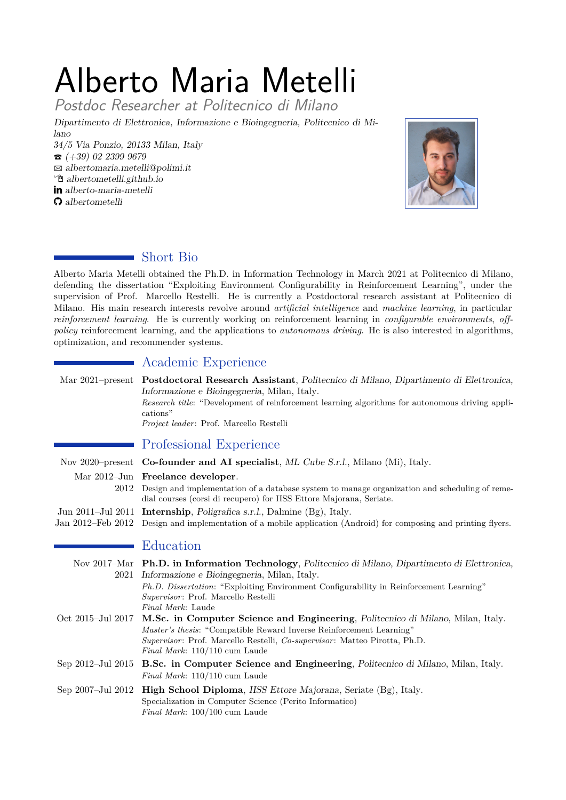# Alberto Maria Metelli

Postdoc Researcher at Politecnico di Milano

*Dipartimento di Elettronica, Informazione e Bioingegneria, Politecnico di Milano*

*34/5 Via Ponzio, 20133 Milan, Italy* T *(+39) 02 2399 9679* B *albertomaria.metelli@polimi.it* Í *albertometelli.github.io alberto-maria-metelli albertometelli*



# Short Bio

Alberto Maria Metelli obtained the Ph.D. in Information Technology in March 2021 at Politecnico di Milano, defending the dissertation "Exploiting Environment Configurability in Reinforcement Learning", under the supervision of Prof. Marcello Restelli. He is currently a Postdoctoral research assistant at Politecnico di Milano. His main research interests revolve around *artificial intelligence* and *machine learning*, in particular *reinforcement learning*. He is currently working on reinforcement learning in *configurable environments*, *offpolicy* reinforcement learning, and the applications to *autonomous driving*. He is also interested in algorithms, optimization, and recommender systems.

# **Academic Experience**

|                               | Mar 2021–present Postdoctoral Research Assistant, Politecnico di Milano, Dipartimento di Elettronica,<br>Informazione e Bioingegneria, Milan, Italy.<br>Research title: "Development of reinforcement learning algorithms for autonomous driving appli-<br>cations"<br>Project leader: Prof. Marcello Restelli |
|-------------------------------|----------------------------------------------------------------------------------------------------------------------------------------------------------------------------------------------------------------------------------------------------------------------------------------------------------------|
|                               | Professional Experience                                                                                                                                                                                                                                                                                        |
|                               | Nov 2020–present <b>Co-founder and AI specialist</b> , ML Cube S.r.l., Milano (Mi), Italy.                                                                                                                                                                                                                     |
| 2012                          | Mar 2012-Jun Freelance developer.<br>Design and implementation of a database system to manage organization and scheduling of reme-<br>dial courses (corsi di recupero) for IISS Ettore Majorana, Seriate.                                                                                                      |
|                               | Jun 2011–Jul 2011 Internship, Poligrafica s.r.l., Dalmine (Bg), Italy.                                                                                                                                                                                                                                         |
| Jan 2012-Feb 2012             | Design and implementation of a mobile application (Android) for composing and printing flyers.                                                                                                                                                                                                                 |
|                               | Education                                                                                                                                                                                                                                                                                                      |
| 2021                          | Nov 2017–Mar Ph.D. in Information Technology, Politecnico di Milano, Dipartimento di Elettronica,<br>Informazione e Bioingegneria, Milan, Italy.<br>Ph.D. Dissertation: "Exploiting Environment Configurability in Reinforcement Learning"                                                                     |
|                               | Supervisor: Prof. Marcello Restelli<br>Final Mark: Laude                                                                                                                                                                                                                                                       |
| Oct 2015-Jul 2017             | M.Sc. in Computer Science and Engineering, Politecnico di Milano, Milan, Italy.<br>Master's thesis: "Compatible Reward Inverse Reinforcement Learning"<br>Supervisor: Prof. Marcello Restelli, Co-supervisor: Matteo Pirotta, Ph.D.<br>Final Mark: 110/110 cum Laude                                           |
| Sep $2012 - \text{Jul } 2015$ | <b>B.Sc. in Computer Science and Engineering</b> , Politecnico di Milano, Milan, Italy.<br>Final Mark: 110/110 cum Laude                                                                                                                                                                                       |
| Sep 2007-Jul 2012             | <b>High School Diploma, IISS Ettore Majorana, Seriate (Bg), Italy.</b><br>Specialization in Computer Science (Perito Informatico)<br>Final Mark: 100/100 cum Laude                                                                                                                                             |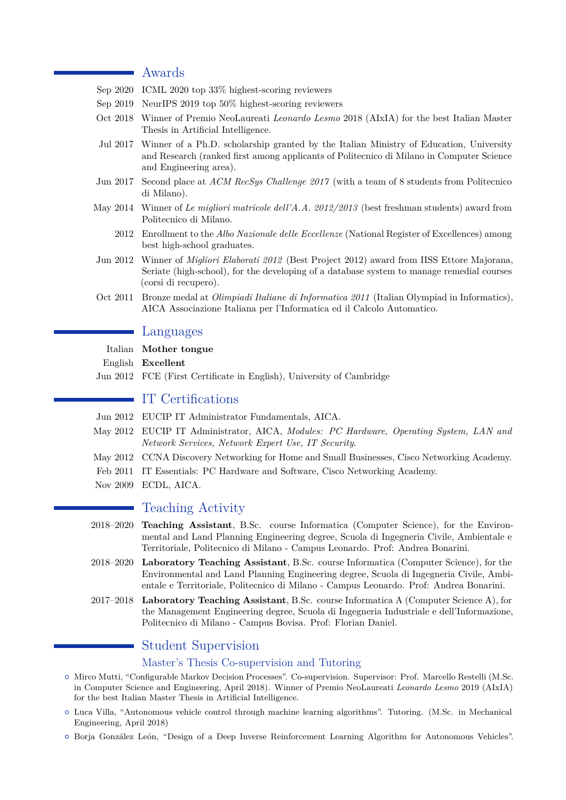# Awards

- Sep 2020 ICML 2020 top 33% highest-scoring reviewers
- Sep 2019 NeurIPS 2019 top 50% highest-scoring reviewers
- Oct 2018 Winner of Premio NeoLaureati *Leonardo Lesmo* 2018 (AIxIA) for the best Italian Master Thesis in Artificial Intelligence.
- Jul 2017 Winner of a Ph.D. scholarship granted by the Italian Ministry of Education, University and Research (ranked first among applicants of Politecnico di Milano in Computer Science and Engineering area).
- Jun 2017 Second place at *ACM RecSys Challenge 2017* (with a team of 8 students from Politecnico di Milano).
- May 2014 Winner of *Le migliori matricole dell'A.A. 2012/2013* (best freshman students) award from Politecnico di Milano.
	- 2012 Enrollment to the *Albo Nazionale delle Eccellenze* (National Register of Excellences) among best high-school graduates.
- Jun 2012 Winner of *Migliori Elaborati 2012* (Best Project 2012) award from IISS Ettore Majorana, Seriate (high-school), for the developing of a database system to manage remedial courses (corsi di recupero).
- Oct 2011 Bronze medal at *Olimpiadi Italiane di Informatica 2011* (Italian Olympiad in Informatics), AICA Associazione Italiana per l'Informatica ed il Calcolo Automatico.

## Languages

#### Italian **Mother tongue**

English **Excellent**

Jun 2012 FCE (First Certificate in English), University of Cambridge

# IT Certifications

- Jun 2012 EUCIP IT Administrator Fundamentals, AICA.
- May 2012 EUCIP IT Administrator, AICA, *Modules: PC Hardware, Operating System, LAN and Network Services, Network Expert Use, IT Security*.
- May 2012 CCNA Discovery Networking for Home and Small Businesses, Cisco Networking Academy.
- Feb 2011 IT Essentials: PC Hardware and Software, Cisco Networking Academy.
- Nov 2009 ECDL, AICA.

# Teaching Activity

- 2018–2020 **Teaching Assistant**, B.Sc. course Informatica (Computer Science), for the Environmental and Land Planning Engineering degree, Scuola di Ingegneria Civile, Ambientale e Territoriale, Politecnico di Milano - Campus Leonardo. Prof: Andrea Bonarini.
- 2018–2020 **Laboratory Teaching Assistant**, B.Sc. course Informatica (Computer Science), for the Environmental and Land Planning Engineering degree, Scuola di Ingegneria Civile, Ambientale e Territoriale, Politecnico di Milano - Campus Leonardo. Prof: Andrea Bonarini.
- 2017–2018 **Laboratory Teaching Assistant**, B.Sc. course Informatica A (Computer Science A), for the Management Engineering degree, Scuola di Ingegneria Industriale e dell'Informazione, Politecnico di Milano - Campus Bovisa. Prof: Florian Daniel.

# Student Supervision

#### Master's Thesis Co-supervision and Tutoring

- { Mirco Mutti, "Configurable Markov Decision Processes". Co-supervision. Supervisor: Prof. Marcello Restelli (M.Sc. in Computer Science and Engineering, April 2018). Winner of Premio NeoLaureati *Leonardo Lesmo* 2019 (AIxIA) for the best Italian Master Thesis in Artificial Intelligence.
- { Luca Villa, "Autonomous vehicle control through machine learning algorithms". Tutoring. (M.Sc. in Mechanical Engineering, April 2018)
- { Borja González León, "Design of a Deep Inverse Reinforcement Learning Algorithm for Autonomous Vehicles".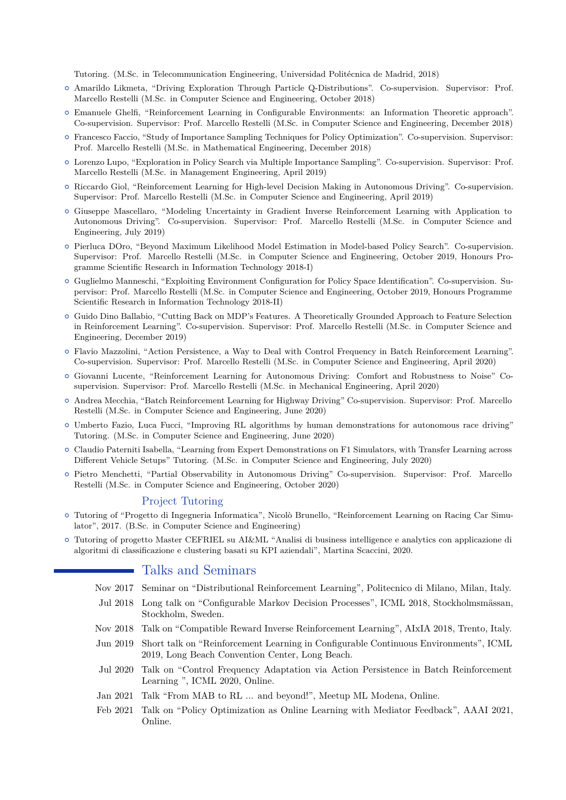Tutoring. (M.Sc. in Telecommunication Engineering, Universidad Politécnica de Madrid, 2018)

- { Amarildo Likmeta, "Driving Exploration Through Particle Q-Distributions". Co-supervision. Supervisor: Prof. Marcello Restelli (M.Sc. in Computer Science and Engineering, October 2018)
- { Emanuele Ghelfi, "Reinforcement Learning in Configurable Environments: an Information Theoretic approach". Co-supervision. Supervisor: Prof. Marcello Restelli (M.Sc. in Computer Science and Engineering, December 2018)
- { Francesco Faccio, "Study of Importance Sampling Techniques for Policy Optimization". Co-supervision. Supervisor: Prof. Marcello Restelli (M.Sc. in Mathematical Engineering, December 2018)
- { Lorenzo Lupo, "Exploration in Policy Search via Multiple Importance Sampling". Co-supervision. Supervisor: Prof. Marcello Restelli (M.Sc. in Management Engineering, April 2019)
- { Riccardo Giol, "Reinforcement Learning for High-level Decision Making in Autonomous Driving". Co-supervision. Supervisor: Prof. Marcello Restelli (M.Sc. in Computer Science and Engineering, April 2019)
- { Giuseppe Mascellaro, "Modeling Uncertainty in Gradient Inverse Reinforcement Learning with Application to Autonomous Driving". Co-supervision. Supervisor: Prof. Marcello Restelli (M.Sc. in Computer Science and Engineering, July 2019)
- { Pierluca DOro, "Beyond Maximum Likelihood Model Estimation in Model-based Policy Search". Co-supervision. Supervisor: Prof. Marcello Restelli (M.Sc. in Computer Science and Engineering, October 2019, Honours Programme Scientific Research in Information Technology 2018-I)
- { Guglielmo Manneschi, "Exploiting Environment Configuration for Policy Space Identification". Co-supervision. Supervisor: Prof. Marcello Restelli (M.Sc. in Computer Science and Engineering, October 2019, Honours Programme Scientific Research in Information Technology 2018-II)
- { Guido Dino Ballabio, "Cutting Back on MDP's Features. A Theoretically Grounded Approach to Feature Selection in Reinforcement Learning". Co-supervision. Supervisor: Prof. Marcello Restelli (M.Sc. in Computer Science and Engineering, December 2019)
- { Flavio Mazzolini, "Action Persistence, a Way to Deal with Control Frequency in Batch Reinforcement Learning". Co-supervision. Supervisor: Prof. Marcello Restelli (M.Sc. in Computer Science and Engineering, April 2020)
- { Giovanni Lucente, "Reinforcement Learning for Autonomous Driving: Comfort and Robustness to Noise" Cosupervision. Supervisor: Prof. Marcello Restelli (M.Sc. in Mechanical Engineering, April 2020)
- { Andrea Mecchia, "Batch Reinforcement Learning for Highway Driving" Co-supervision. Supervisor: Prof. Marcello Restelli (M.Sc. in Computer Science and Engineering, June 2020)
- { Umberto Fazio, Luca Fucci, "Improving RL algorithms by human demonstrations for autonomous race driving" Tutoring. (M.Sc. in Computer Science and Engineering, June 2020)
- { Claudio Paterniti Isabella, "Learning from Expert Demonstrations on F1 Simulators, with Transfer Learning across Different Vehicle Setups" Tutoring. (M.Sc. in Computer Science and Engineering, July 2020)
- { Pietro Menchetti, "Partial Observability in Autonomous Driving" Co-supervision. Supervisor: Prof. Marcello Restelli (M.Sc. in Computer Science and Engineering, October 2020)

#### Project Tutoring

- { Tutoring of "Progetto di Ingegneria Informatica", Nicolò Brunello, "Reinforcement Learning on Racing Car Simulator", 2017. (B.Sc. in Computer Science and Engineering)
- { Tutoring of progetto Master CEFRIEL su AI&ML "Analisi di business intelligence e analytics con applicazione di algoritmi di classificazione e clustering basati su KPI aziendali", Martina Scaccini, 2020.

## Talks and Seminars

- Nov 2017 Seminar on "Distributional Reinforcement Learning", Politecnico di Milano, Milan, Italy.
- Jul 2018 Long talk on "Configurable Markov Decision Processes", ICML 2018, Stockholmsmässan, Stockholm, Sweden.
- Nov 2018 Talk on "Compatible Reward Inverse Reinforcement Learning", AIxIA 2018, Trento, Italy.
- Jun 2019 Short talk on "Reinforcement Learning in Configurable Continuous Environments", ICML 2019, Long Beach Convention Center, Long Beach.
- Jul 2020 Talk on "Control Frequency Adaptation via Action Persistence in Batch Reinforcement Learning ", ICML 2020, Online.
- Jan 2021 Talk "From MAB to RL ... and beyond!", Meetup ML Modena, Online.
- Feb 2021 Talk on "Policy Optimization as Online Learning with Mediator Feedback", AAAI 2021, Online.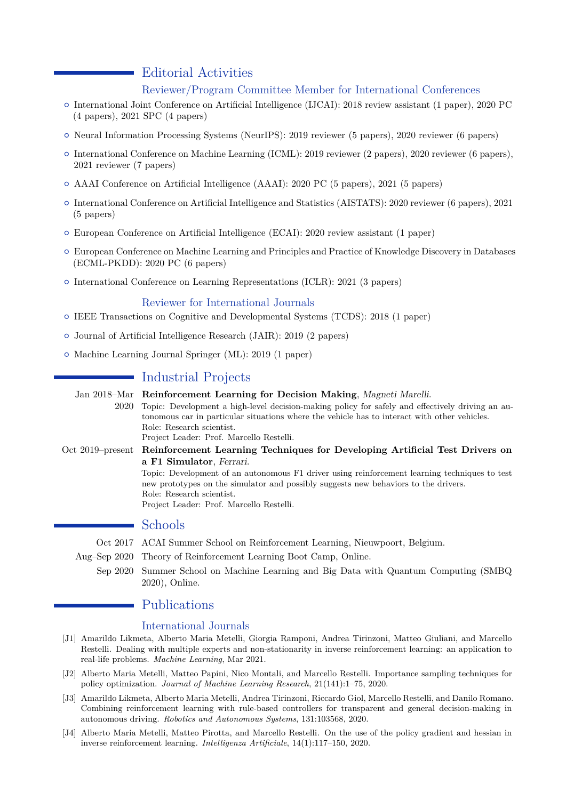# Editorial Activities

### Reviewer/Program Committee Member for International Conferences

- { International Joint Conference on Artificial Intelligence (IJCAI): 2018 review assistant (1 paper), 2020 PC (4 papers), 2021 SPC (4 papers)
- { Neural Information Processing Systems (NeurIPS): 2019 reviewer (5 papers), 2020 reviewer (6 papers)
- { International Conference on Machine Learning (ICML): 2019 reviewer (2 papers), 2020 reviewer (6 papers), 2021 reviewer (7 papers)
- { AAAI Conference on Artificial Intelligence (AAAI): 2020 PC (5 papers), 2021 (5 papers)
- { International Conference on Artificial Intelligence and Statistics (AISTATS): 2020 reviewer (6 papers), 2021 (5 papers)
- { European Conference on Artificial Intelligence (ECAI): 2020 review assistant (1 paper)
- { European Conference on Machine Learning and Principles and Practice of Knowledge Discovery in Databases (ECML-PKDD): 2020 PC (6 papers)
- { International Conference on Learning Representations (ICLR): 2021 (3 papers)

#### Reviewer for International Journals

- { IEEE Transactions on Cognitive and Developmental Systems (TCDS): 2018 (1 paper)
- { Journal of Artificial Intelligence Research (JAIR): 2019 (2 papers)
- { Machine Learning Journal Springer (ML): 2019 (1 paper)

# Industrial Projects

Jan 2018–Mar **Reinforcement Learning for Decision Making**, *Magneti Marelli*. 2020 Topic: Development a high-level decision-making policy for safely and effectively driving an autonomous car in particular situations where the vehicle has to interact with other vehicles. Role: Research scientist. Project Leader: Prof. Marcello Restelli.

Oct 2019–present **Reinforcement Learning Techniques for Developing Artificial Test Drivers on a F1 Simulator**, *Ferrari*. Topic: Development of an autonomous F1 driver using reinforcement learning techniques to test new prototypes on the simulator and possibly suggests new behaviors to the drivers. Role: Research scientist. Project Leader: Prof. Marcello Restelli.

# Schools

- Oct 2017 ACAI Summer School on Reinforcement Learning, Nieuwpoort, Belgium.
- Aug–Sep 2020 Theory of Reinforcement Learning Boot Camp, Online.
	- Sep 2020 Summer School on Machine Learning and Big Data with Quantum Computing (SMBQ 2020), Online.

# Publications

#### International Journals

- [J1] Amarildo Likmeta, Alberto Maria Metelli, Giorgia Ramponi, Andrea Tirinzoni, Matteo Giuliani, and Marcello Restelli. Dealing with multiple experts and non-stationarity in inverse reinforcement learning: an application to real-life problems. *Machine Learning*, Mar 2021.
- [J2] Alberto Maria Metelli, Matteo Papini, Nico Montali, and Marcello Restelli. Importance sampling techniques for policy optimization. *Journal of Machine Learning Research*, 21(141):1–75, 2020.
- [J3] Amarildo Likmeta, Alberto Maria Metelli, Andrea Tirinzoni, Riccardo Giol, Marcello Restelli, and Danilo Romano. Combining reinforcement learning with rule-based controllers for transparent and general decision-making in autonomous driving. *Robotics and Autonomous Systems*, 131:103568, 2020.
- [J4] Alberto Maria Metelli, Matteo Pirotta, and Marcello Restelli. On the use of the policy gradient and hessian in inverse reinforcement learning. *Intelligenza Artificiale*, 14(1):117–150, 2020.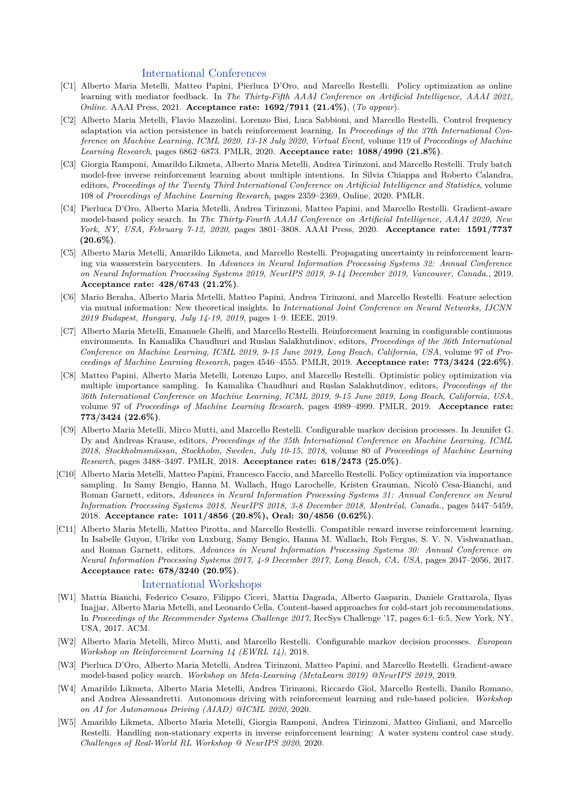#### International Conferences

- [C1] Alberto Maria Metelli, Matteo Papini, Pierluca D'Oro, and Marcello Restelli. Policy optimization as online learning with mediator feedback. In *The Thirty-Fifth AAAI Conference on Artificial Intelligence, AAAI 2021, Online*. AAAI Press, 2021. **Acceptance rate: 1692/7911 (21.4%)**, (*To appear*).
- [C2] Alberto Maria Metelli, Flavio Mazzolini, Lorenzo Bisi, Luca Sabbioni, and Marcello Restelli. Control frequency adaptation via action persistence in batch reinforcement learning. In *Proceedings of the 37th International Conference on Machine Learning, ICML 2020, 13-18 July 2020, Virtual Event*, volume 119 of *Proceedings of Machine Learning Research*, pages 6862–6873. PMLR, 2020. **Acceptance rate: 1088/4990 (21.8%)**.
- [C3] Giorgia Ramponi, Amarildo Likmeta, Alberto Maria Metelli, Andrea Tirinzoni, and Marcello Restelli. Truly batch model-free inverse reinforcement learning about multiple intentions. In Silvia Chiappa and Roberto Calandra, editors, *Proceedings of the Twenty Third International Conference on Artificial Intelligence and Statistics*, volume 108 of *Proceedings of Machine Learning Research*, pages 2359–2369, Online, 2020. PMLR.
- [C4] Pierluca D'Oro, Alberto Maria Metelli, Andrea Tirinzoni, Matteo Papini, and Marcello Restelli. Gradient-aware model-based policy search. In *The Thirty-Fourth AAAI Conference on Artificial Intelligence, AAAI 2020, New York, NY, USA, February 7-12, 2020*, pages 3801–3808. AAAI Press, 2020. **Acceptance rate: 1591/7737 (20.6%)**.
- [C5] Alberto Maria Metelli, Amarildo Likmeta, and Marcello Restelli. Propagating uncertainty in reinforcement learning via wasserstein barycenters. In *Advances in Neural Information Processing Systems 32: Annual Conference on Neural Information Processing Systems 2019, NeurIPS 2019, 9-14 December 2019, Vancouver, Canada.*, 2019. **Acceptance rate: 428/6743 (21.2%)**.
- [C6] Mario Beraha, Alberto Maria Metelli, Matteo Papini, Andrea Tirinzoni, and Marcello Restelli. Feature selection via mutual information: New theoretical insights. In *International Joint Conference on Neural Networks, IJCNN 2019 Budapest, Hungary, July 14-19, 2019*, pages 1–9. IEEE, 2019.
- [C7] Alberto Maria Metelli, Emanuele Ghelfi, and Marcello Restelli. Reinforcement learning in configurable continuous environments. In Kamalika Chaudhuri and Ruslan Salakhutdinov, editors, *Proceedings of the 36th International Conference on Machine Learning, ICML 2019, 9-15 June 2019, Long Beach, California, USA*, volume 97 of *Proceedings of Machine Learning Research*, pages 4546–4555. PMLR, 2019. **Acceptance rate: 773/3424 (22.6%)**.
- [C8] Matteo Papini, Alberto Maria Metelli, Lorenzo Lupo, and Marcello Restelli. Optimistic policy optimization via multiple importance sampling. In Kamalika Chaudhuri and Ruslan Salakhutdinov, editors, *Proceedings of the 36th International Conference on Machine Learning, ICML 2019, 9-15 June 2019, Long Beach, California, USA*, volume 97 of *Proceedings of Machine Learning Research*, pages 4989–4999. PMLR, 2019. **Acceptance rate: 773/3424 (22.6%)**.
- [C9] Alberto Maria Metelli, Mirco Mutti, and Marcello Restelli. Configurable markov decision processes. In Jennifer G. Dy and Andreas Krause, editors, *Proceedings of the 35th International Conference on Machine Learning, ICML 2018, Stockholmsmässan, Stockholm, Sweden, July 10-15, 2018*, volume 80 of *Proceedings of Machine Learning Research*, pages 3488–3497. PMLR, 2018. **Acceptance rate: 618/2473 (25.0%)**.
- [C10] Alberto Maria Metelli, Matteo Papini, Francesco Faccio, and Marcello Restelli. Policy optimization via importance sampling. In Samy Bengio, Hanna M. Wallach, Hugo Larochelle, Kristen Grauman, Nicolò Cesa-Bianchi, and Roman Garnett, editors, *Advances in Neural Information Processing Systems 31: Annual Conference on Neural Information Processing Systems 2018, NeurIPS 2018, 3-8 December 2018, Montréal, Canada.*, pages 5447–5459, 2018. **Acceptance rate: 1011/4856 (20.8%), Oral: 30/4856 (0.62%)**.
- [C11] Alberto Maria Metelli, Matteo Pirotta, and Marcello Restelli. Compatible reward inverse reinforcement learning. In Isabelle Guyon, Ulrike von Luxburg, Samy Bengio, Hanna M. Wallach, Rob Fergus, S. V. N. Vishwanathan, and Roman Garnett, editors, *Advances in Neural Information Processing Systems 30: Annual Conference on Neural Information Processing Systems 2017, 4-9 December 2017, Long Beach, CA, USA*, pages 2047–2056, 2017. **Acceptance rate: 678/3240 (20.9%)**.

#### International Workshops

- [W1] Mattia Bianchi, Federico Cesaro, Filippo Ciceri, Mattia Dagrada, Alberto Gasparin, Daniele Grattarola, Ilyas Inajjar, Alberto Maria Metelli, and Leonardo Cella. Content-based approaches for cold-start job recommendations. In *Proceedings of the Recommender Systems Challenge 2017*, RecSys Challenge '17, pages 6:1–6:5, New York, NY, USA, 2017. ACM.
- [W2] Alberto Maria Metelli, Mirco Mutti, and Marcello Restelli. Configurable markov decision processes. *European Workshop on Reinforcement Learning 14 (EWRL 14)*, 2018.
- [W3] Pierluca D'Oro, Alberto Maria Metelli, Andrea Tirinzoni, Matteo Papini, and Marcello Restelli. Gradient-aware model-based policy search. *Workshop on Meta-Learning (MetaLearn 2019) @NeurIPS 2019*, 2019.
- [W4] Amarildo Likmeta, Alberto Maria Metelli, Andrea Tirinzoni, Riccardo Giol, Marcello Restelli, Danilo Romano, and Andrea Alessandretti. Autonomous driving with reinforcement learning and rule-based policies. *Workshop on AI for Autonomous Driving (AIAD) @ICML 2020*, 2020.
- [W5] Amarildo Likmeta, Alberto Maria Metelli, Giorgia Ramponi, Andrea Tirinzoni, Matteo Giuliani, and Marcello Restelli. Handling non-stationary experts in inverse reinforcement learning: A water system control case study. *Challenges of Real-World RL Workshop @ NeurIPS 2020*, 2020.